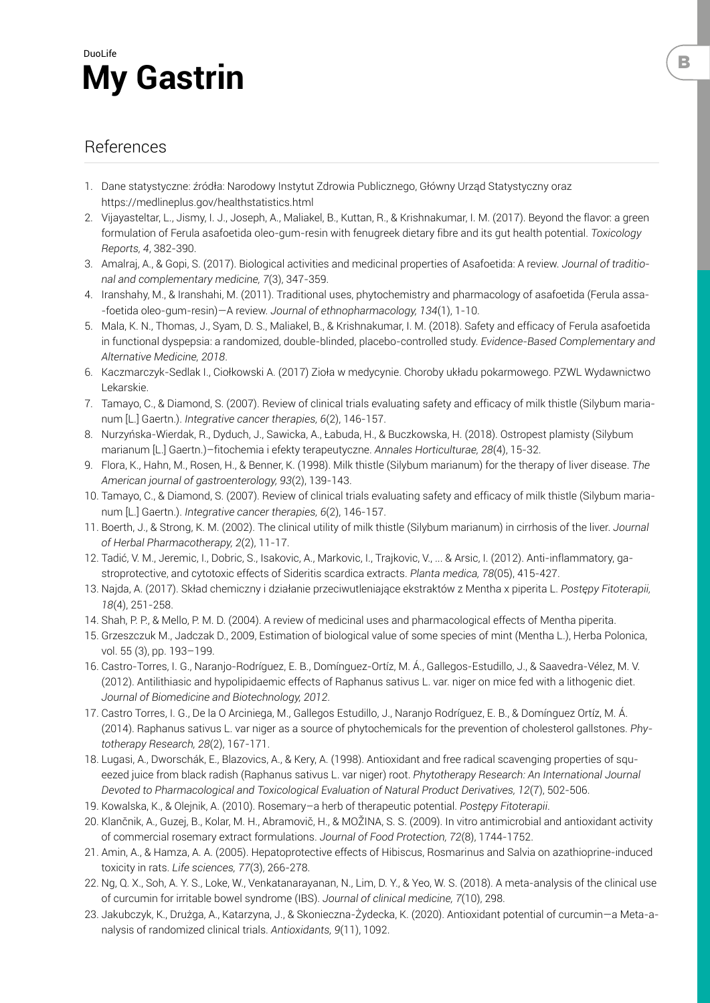

## References

- 1. Dane statystyczne: źródła: Narodowy Instytut Zdrowia Publicznego, Główny Urząd Statystyczny oraz https://medlineplus.gov/healthstatistics.html
- 2. Vijayasteltar, L., Jismy, I. J., Joseph, A., Maliakel, B., Kuttan, R., & Krishnakumar, I. M. (2017). Beyond the flavor: a green formulation of Ferula asafoetida oleo-gum-resin with fenugreek dietary fibre and its gut health potential. *Toxicology Reports, 4*, 382-390.
- 3. Amalraj, A., & Gopi, S. (2017). Biological activities and medicinal properties of Asafoetida: A review. *Journal of traditional and complementary medicine, 7*(3), 347-359.
- 4. Iranshahy, M., & Iranshahi, M. (2011). Traditional uses, phytochemistry and pharmacology of asafoetida (Ferula assa- -foetida oleo-gum-resin)—A review. *Journal of ethnopharmacology, 134*(1), 1-10.
- 5. Mala, K. N., Thomas, J., Syam, D. S., Maliakel, B., & Krishnakumar, I. M. (2018). Safety and efficacy of Ferula asafoetida in functional dyspepsia: a randomized, double-blinded, placebo-controlled study. *Evidence-Based Complementary and Alternative Medicine, 2018*.
- 6. Kaczmarczyk-Sedlak I., Ciołkowski A. (2017) Zioła w medycynie. Choroby układu pokarmowego. PZWL Wydawnictwo Lekarskie.
- 7. Tamayo, C., & Diamond, S. (2007). Review of clinical trials evaluating safety and efficacy of milk thistle (Silybum marianum [L.] Gaertn.). *Integrative cancer therapies, 6*(2), 146-157.
- 8. Nurzyńska-Wierdak, R., Dyduch, J., Sawicka, A., Łabuda, H., & Buczkowska, H. (2018). Ostropest plamisty (Silybum marianum [L.] Gaertn.)–fitochemia i efekty terapeutyczne. *Annales Horticulturae, 28*(4), 15-32.
- 9. Flora, K., Hahn, M., Rosen, H., & Benner, K. (1998). Milk thistle (Silybum marianum) for the therapy of liver disease. *The American journal of gastroenterology, 93*(2), 139-143.
- 10. Tamayo, C., & Diamond, S. (2007). Review of clinical trials evaluating safety and efficacy of milk thistle (Silybum marianum [L.] Gaertn.). *Integrative cancer therapies, 6*(2), 146-157.
- 11. Boerth, J., & Strong, K. M. (2002). The clinical utility of milk thistle (Silybum marianum) in cirrhosis of the liver. *Journal of Herbal Pharmacotherapy, 2*(2), 11-17.
- 12. Tadić, V. M., Jeremic, I., Dobric, S., Isakovic, A., Markovic, I., Trajkovic, V., ... & Arsic, I. (2012). Anti-inflammatory, gastroprotective, and cytotoxic effects of Sideritis scardica extracts. *Planta medica, 78*(05), 415-427.
- 13. Najda, A. (2017). Skład chemiczny i działanie przeciwutleniające ekstraktów z Mentha x piperita L. *Postępy Fitoterapii, 18*(4), 251-258.
- 14. Shah, P. P., & Mello, P. M. D. (2004). A review of medicinal uses and pharmacological effects of Mentha piperita.
- 15. Grzeszczuk M., Jadczak D., 2009, Estimation of biological value of some species of mint (Mentha L.), Herba Polonica, vol. 55 (3), pp. 193–199.
- 16. Castro-Torres, I. G., Naranjo-Rodríguez, E. B., Domínguez-Ortíz, M. Á., Gallegos-Estudillo, J., & Saavedra-Vélez, M. V. (2012). Antilithiasic and hypolipidaemic effects of Raphanus sativus L. var. niger on mice fed with a lithogenic diet. *Journal of Biomedicine and Biotechnology, 2012*.
- 17. Castro Torres, I. G., De la O Arciniega, M., Gallegos Estudillo, J., Naranjo Rodríguez, E. B., & Domínguez Ortíz, M. Á. (2014). Raphanus sativus L. var niger as a source of phytochemicals for the prevention of cholesterol gallstones. *Phytotherapy Research, 28*(2), 167-171.
- 18. Lugasi, A., Dworschák, E., Blazovics, A., & Kery, A. (1998). Antioxidant and free radical scavenging properties of squeezed juice from black radish (Raphanus sativus L. var niger) root. *Phytotherapy Research: An International Journal Devoted to Pharmacological and Toxicological Evaluation of Natural Product Derivatives, 12*(7), 502-506.
- 19. Kowalska, K., & Olejnik, A. (2010). Rosemary–a herb of therapeutic potential. *Postępy Fitoterapii*.
- 20. Klančnik, A., Guzej, B., Kolar, M. H., Abramovič, H., & MOŽINA, S. S. (2009). In vitro antimicrobial and antioxidant activity of commercial rosemary extract formulations. *Journal of Food Protection, 72*(8), 1744-1752.
- 21. Amin, A., & Hamza, A. A. (2005). Hepatoprotective effects of Hibiscus, Rosmarinus and Salvia on azathioprine-induced toxicity in rats. *Life sciences, 77*(3), 266-278.
- 22. Ng, Q. X., Soh, A. Y. S., Loke, W., Venkatanarayanan, N., Lim, D. Y., & Yeo, W. S. (2018). A meta-analysis of the clinical use of curcumin for irritable bowel syndrome (IBS). *Journal of clinical medicine, 7*(10), 298.
- 23. Jakubczyk, K., Drużga, A., Katarzyna, J., & Skonieczna-Żydecka, K. (2020). Antioxidant potential of curcumin—a Meta-analysis of randomized clinical trials. *Antioxidants, 9*(11), 1092.